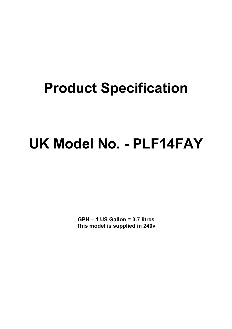## **Product Specification**

# **UK Model No. - PLF14FAY**

**GPH – 1 US Gallon = 3.7 litres This model is supplied in 240v**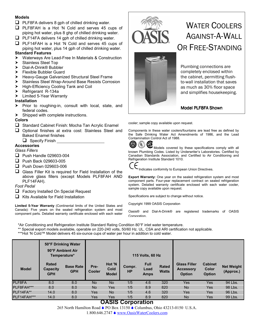#### **Models**

- $\Box$  PLF8FA delivers 8 gph of chilled drinking water.
- $\Box$  PLF8FAH is a Hot 'N Cold and serves 45 cups of piping hot water, plus 8 ghp of chilled drinking water.
- $\Box$  PLF14FA delivers 14 gph of chilled drinking water.
- **Q** PLF14FAH is a Hot 'N Cold and serves 45 cups of piping hot water, plus 14 gph of chilled drinking water.

#### **Standard Features**

- ▶ Waterways Are Lead-Free In Materials & Construction
- > Stainless Steel Top
- ▶ Dial-A-Drink® Bubbler
- > Flexible Bubbler Guard
- ▶ Heavy-Gauge Galvanized Structural Steel Frame
- > Stainless Steel Wrap-Around Base Resists Corrosion
- > High-Efficiency Cooling Tank and Coil
- $\blacktriangleright$  Refrigerant R-134a
- $\blacktriangleright$  Limited 5-Year Warranty

#### **Installation**

- $\triangleright$  Prior to roughing-in, consult with local, state, and federal codes.
- $\blacktriangleright$  Shipped with complete instructions.

#### **Colors**

- $\Box$  Standard Cabinet Finish: Mocha Tan Acrylic Enamel
- $\Box$  Optional finishes at extra cost: Stainless Steel and Baked Enamel finishes
	- $\Box$  Specify Finish  $\Box$

#### **Accessories**

*Glass Fillers*

- $\Box$  Push Handle 029603-004
- **Push Back 029603-005**
- **Push Down 029603-006**
- $\Box$  Glass Filler Kit is required for Field Installation of the above glass fillers (except Models PLF8FAH AND PLF14FAH).

#### *Foot Pedal*

- $\Box$  Factory Installed On Special Request
- $\Box$  Kits Available for Field Installation

**Limited 5-Year Warranty** (Continental limits of the United States and Canada): Five years on the sealed refrigeration system and most component parts. Detailed warranty certificate enclosed with each water





### WATER COOLERS AGAINST-A-WALL OR FREE-STANDING

Plumbing connections are completely enclosed within the cabinet, permitting flushto-wall installation that saves as much as 30% floor space and simplifies housekeeping.

#### Model PLF8FA Shown

cooler; sample copy available upon request.

Components in these water coolers/fountains are lead free as defined by the Safe Drinking Water Act Amendments of 1986, and the Lead Contamination Control Act of 1988.



**MD** Models covered by these specifications comply with all Models covered by these specifications comply with all known Plumbing Codes. Listed by Underwriter's Laboratories. Certified by Canadian Standards Association, and Certified to Air Conditioning and Refrigeration Institute Standard 1010.



Indicates conformity to European Union Directives.

**Export Warranty:** One year on the sealed refrigeration system and most component parts. Four-year replacement contract on sealed refrigeration system. Detailed warranty certificate enclosed with each water cooler, sample copy available upon request.

Specifications are subject to change without notice.

Copyright 1999 OASIS Corporation

Oasis® and Dial-A-Drink® are registered trademarks of OASIS Corporation.

\*Air Conditioning and Refrigeration Institute Standard Rating Condition 80°F inlet water temperature.

\*\* Special export models available, operable on 220-240 volts, 50/60 Hz. UL, CSA and ARI certification not applicable.

\*\*\*Hot 'N Cold™ Model delivers 45 six-ounce cups of water per hour in addition to cold water.

|              | 50°F Drinking Water<br>90°F Ambient Air<br>Temperature* |                                |                |                                | 115 Volts, 60 Hz    |                                    |                       |                                                          |                                                 |                                |
|--------------|---------------------------------------------------------|--------------------------------|----------------|--------------------------------|---------------------|------------------------------------|-----------------------|----------------------------------------------------------|-------------------------------------------------|--------------------------------|
| <b>Model</b> | <b>Rated</b><br>Capacity<br><b>GPH</b>                  | <b>Base Rate</b><br><b>GPH</b> | Pre-<br>Cooler | Hot 'N<br>Cold<br><b>Model</b> | Compr.<br><b>HP</b> | <b>Full</b><br>Load<br><b>Amps</b> | Rated<br><b>Watts</b> | <b>Glass Filler</b><br><b>Accessory</b><br><b>Option</b> | <b>Cabinet</b><br><b>Color</b><br><b>Option</b> | <b>Net Weight</b><br>(Approx.) |
| PLF8FA       | 8.0                                                     | 8.0                            | <b>No</b>      | <b>No</b>                      | 1/5                 | 4.6                                | 320                   | <b>Yes</b>                                               | <b>Yes</b>                                      | 94 Lbs.                        |
| PLF8FAH***   | 8.0                                                     | 8.0                            | <b>No</b>      | Yes                            | 1/5                 | 8.9                                | 820                   | <b>No</b>                                                | Yes                                             | 98 Lbs.                        |
| PLF14FA**    | 14.0                                                    | 8.0                            | Yes            | <b>No</b>                      | 1/5                 | 4.6                                | 320                   | Yes                                                      | Yes                                             | 96 Lbs.                        |
| PLF14FAH***  | 14.0                                                    | 8.0                            | Yes            | Yes                            | 1/5                 | 8.9                                | 820                   | <b>No</b>                                                | Yes                                             | 99 Lbs.                        |